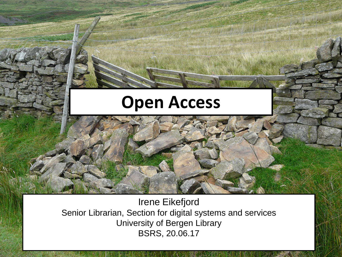### **Open Access**

Irene Eikefjord Senior Librarian, Section for digital systems and services University of Bergen Library BSRS, 20.06.17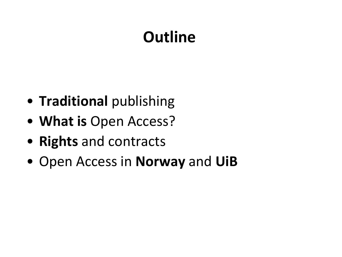## **Outline**

- **Traditional** publishing
- **What is** Open Access?
- **Rights** and contracts
- Open Access in **Norway** and **UiB**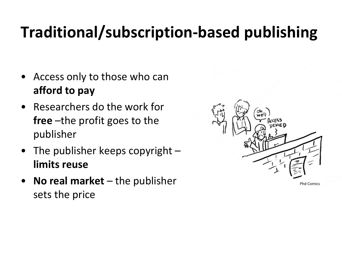## **Traditional/subscription-based publishing**

- Access only to those who can **afford to pay**
- Researchers do the work for **free** –the profit goes to the publisher
- The publisher keeps copyright **limits reuse**
- **No real market** the publisher sets the price

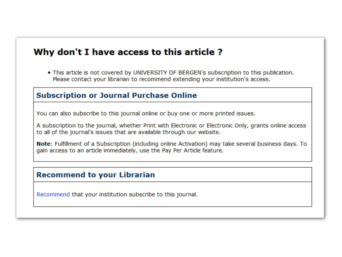#### Why don't I have access to this article?

. This article is not covered by UNIVERSITY OF BERGEN's subscription to this publication. Please contact your librarian to recommend extending your institution's access.

#### **Subscription or Journal Purchase Online**

You can also subscribe to this journal online or buy one or more printed issues.

A subscription to the journal, whether Print with Electronic or Electronic Only, grants online access to all of the journal's issues that are available through our website.

**Note:** Fulfillment of a Subscription (including online Activation) may take several business days. To gain access to an article immediately, use the Pay Per Article feature.

#### **Recommend to your Librarian**

Recommend that your institution subscribe to this journal.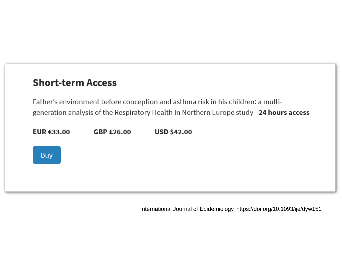#### **Short-term Access**

Father's environment before conception and asthma risk in his children: a multigeneration analysis of the Respiratory Health In Northern Europe study - 24 hours access

**USD \$42.00** EUR €33.00 GBP £26.00

#### **Buy**

International Journal of Epidemiology, https://doi.org/10.1093/ije/dyw151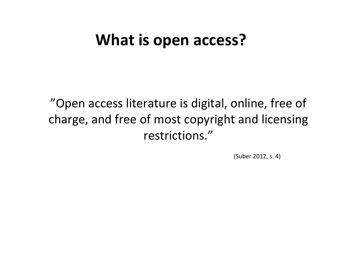### **What is open access?**

"Open access literature is digital, online, free of charge, and free of most copyright and licensing restrictions."

(Suber 2012, s. 4)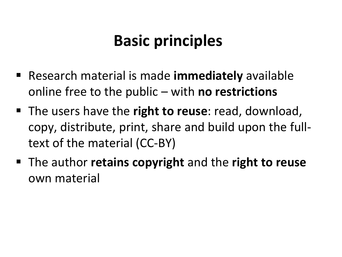## **Basic principles**

- Research material is made **immediately** available online free to the public – with **no restrictions**
- The users have the **right to reuse**: read, download, copy, distribute, print, share and build upon the fulltext of the material (CC-BY)
- The author **retains copyright** and the **right to reuse**  own material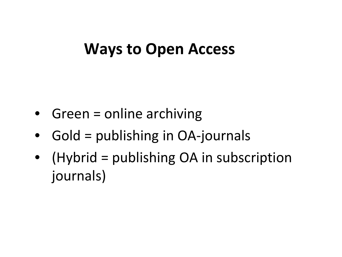### **Ways to Open Access**

- Green = online archiving
- Gold = publishing in OA-journals
- (Hybrid = publishing OA in subscription journals)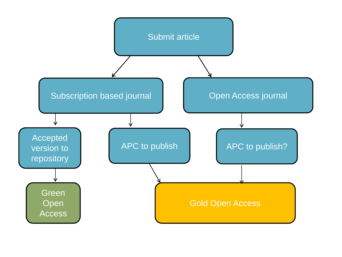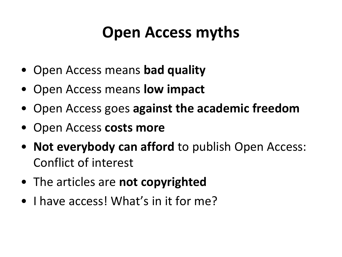## **Open Access myths**

- Open Access means **bad quality**
- Open Access means **low impact**
- Open Access goes **against the academic freedom**
- Open Access **costs more**
- **Not everybody can afford** to publish Open Access: Conflict of interest
- The articles are **not copyrighted**
- I have access! What's in it for me?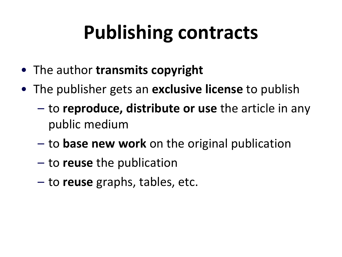# **Publishing contracts**

- The author **transmits copyright**
- The publisher gets an **exclusive license** to publish
	- to **reproduce, distribute or use** the article in any public medium
	- to **base new work** on the original publication
	- to **reuse** the publication
	- to **reuse** graphs, tables, etc.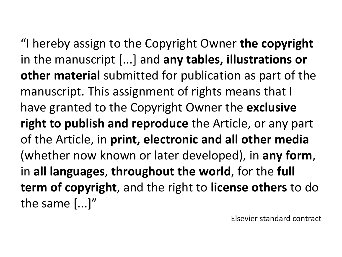"I hereby assign to the Copyright Owner **the copyright**  in the manuscript [...] and **any tables, illustrations or other material** submitted for publication as part of the manuscript. This assignment of rights means that I have granted to the Copyright Owner the **exclusive right to publish and reproduce** the Article, or any part of the Article, in **print, electronic and all other media**  (whether now known or later developed), in **any form**, in **all languages**, **throughout the world**, for the **full term of copyright**, and the right to **license others** to do the same [...]"

Elsevier standard contract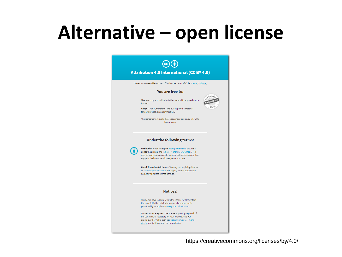# **Alternative – open license**

| <b>Attribution 4.0 International (CC BY 4.0)</b> |                                                                                                                                                                                                                                            |
|--------------------------------------------------|--------------------------------------------------------------------------------------------------------------------------------------------------------------------------------------------------------------------------------------------|
|                                                  | This is a human-readable summary of (and not a substitute for) the license. Disclaimer.                                                                                                                                                    |
|                                                  | You are free to:                                                                                                                                                                                                                           |
|                                                  | cultur.<br>Share - copy and redistribute the material in any medium or<br>format<br>Adapt - remix, transform, and build upon the material<br>for any purpose, even commercially.                                                           |
|                                                  | The licensor cannot revoke these freedoms as long as you follow the<br>license terms.                                                                                                                                                      |
|                                                  | Under the following terms:                                                                                                                                                                                                                 |
|                                                  | Attribution - You must give appropriate credit, provide a<br>link to the license, and indicate if changes were made. You<br>may do so in any reasonable manner, but not in any way that<br>suggests the licensor endorses you or your use. |
|                                                  | No additional restrictions - You may not apply legal terms<br>or technological measures that legally restrict others from<br>doing anything the license permits.                                                                           |
|                                                  | <b>Notices:</b>                                                                                                                                                                                                                            |
|                                                  | You do not have to comply with the license for elements of<br>the material in the public domain or where your use is<br>permitted by an applicable exception or limitation.                                                                |
|                                                  | No warranties are given. The license may not give you all of<br>the permissions necessary for your intended use. For<br>example, other rights such as publicity, privacy, or moral<br>rights may limit how you use the material.           |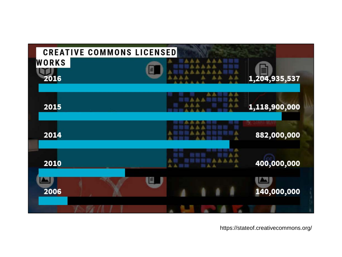

https://stateof.creativecommons.org/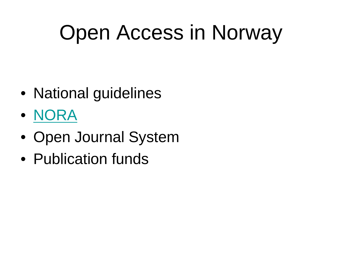# Open Access in Norway

- National guidelines
- [NORA](http://nora.openaccess.no/)
- Open Journal System
- Publication funds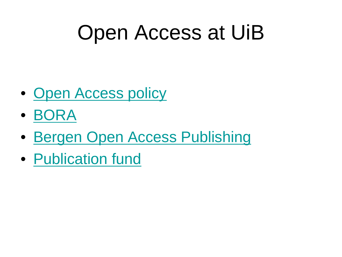# Open Access at UiB

- [Open Access policy](http://www.uib.no/en/ub/79535/open-access)
- [BORA](https://bora.uib.no/)
- [Bergen Open Access Publishing](http://www.uib.no/en/ub/79541/bergen-open-access-publishing)
- [Publication](http://www.uib.no/en/ub/79537/publication-fund-open-access-university-bergen) fund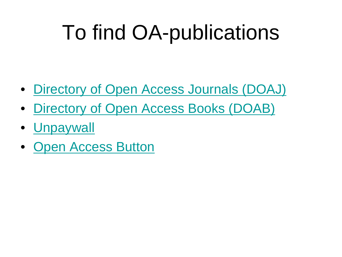# To find OA-publications

- [Directory of Open Access Journals \(DOAJ\)](https://doaj.org/)
- [Directory of Open Access Books \(DOAB\)](http://doabooks.org/)
- [Unpaywall](http://unpaywall.org/)
- [Open Access Button](https://openaccessbutton.org/)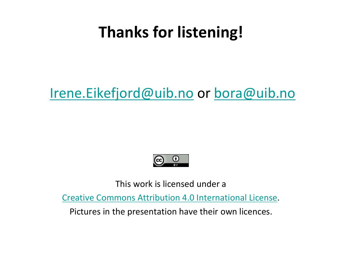## **Thanks for listening!**

#### [Irene.Eikefjord@uib.no](mailto:Irene.Eikefjord@uib.no) or [bora@uib.no](mailto:bora@uib.no)



This work is licensed under a

[Creative Commons Attribution 4.0 International License](https://creativecommons.org/licenses/by/4.0/).

Pictures in the presentation have their own licences.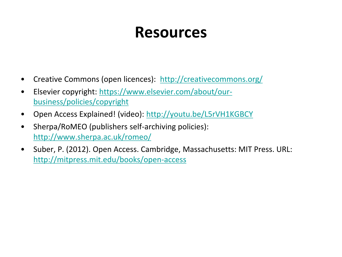### **Resources**

- Creative Commons (open licences): <http://creativecommons.org/>
- Elsevier copyright: [https://www.elsevier.com/about/our](https://www.elsevier.com/about/our-business/policies/copyright)[business/policies/copyright](https://www.elsevier.com/about/our-business/policies/copyright)
- Open Access Explained! (video): <http://youtu.be/L5rVH1KGBCY>
- Sherpa/RoMEO (publishers self-archiving policies): <http://www.sherpa.ac.uk/romeo/>
- Suber, P. (2012). Open Access. Cambridge, Massachusetts: MIT Press. URL: <http://mitpress.mit.edu/books/open-access>